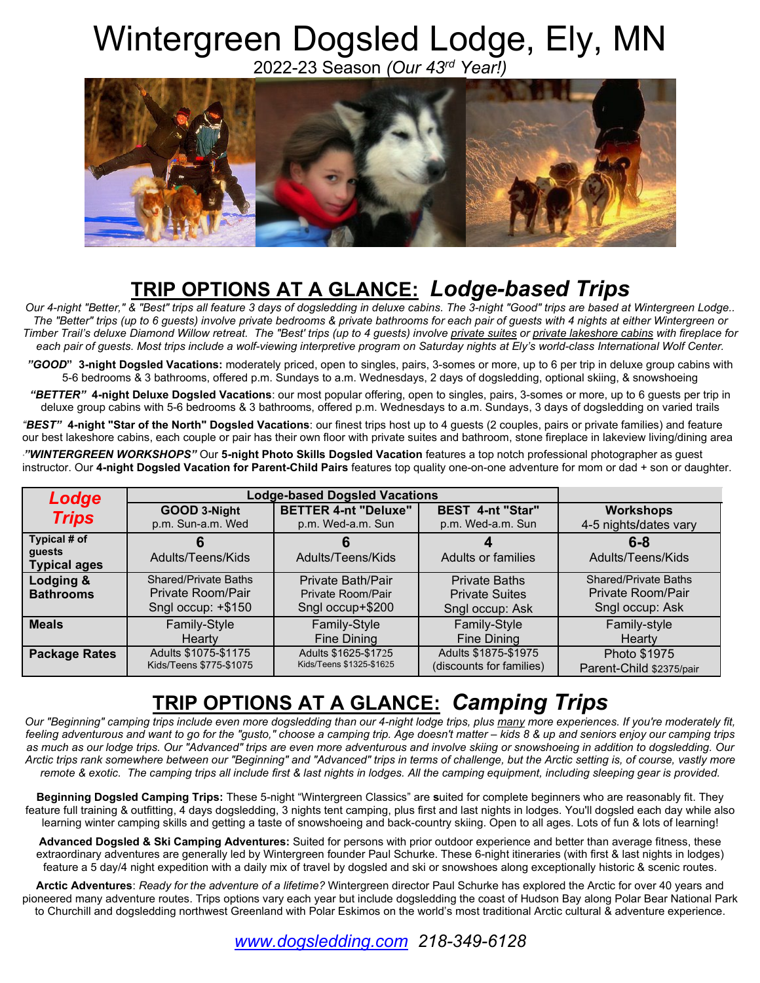# Wintergreen Dogsled Lodge, Ely, MN

2022-23 Season *(Our 43rd Year!)*



## **TRIP OPTIONS AT A GLANCE:** *Lodge-based Trips*

*Our 4-night "Better," & "Best" trips all feature 3 days of dogsledding in deluxe cabins. The 3-night "Good" trips are based at Wintergreen Lodge.. The "Better" trips (up to 6 guests) involve private bedrooms & private bathrooms for each pair of guests with 4 nights at either Wintergreen or Timber Trail's deluxe Diamond Willow retreat. The "Best' trips (up to 4 guests) involve private suites or private lakeshore cabins with fireplace for*  each pair of guests. Most trips include a wolf-viewing interpretive program on Saturday nights at Ely's world-class International Wolf Center.

*"GOOD***" 3-night Dogsled Vacations:** moderately priced, open to singles, pairs, 3-somes or more, up to 6 per trip in deluxe group cabins with 5-6 bedrooms & 3 bathrooms, offered p.m. Sundays to a.m. Wednesdays, 2 days of dogsledding, optional skiing, & snowshoeing

*"BETTER"* **4-night Deluxe Dogsled Vacations**: our most popular offering, open to singles, pairs, 3-somes or more, up to 6 guests per trip in deluxe group cabins with 5-6 bedrooms & 3 bathrooms, offered p.m. Wednesdays to a.m. Sundays, 3 days of dogsledding on varied trails

*"BEST"* **4-night "Star of the North" Dogsled Vacations**: our finest trips host up to 4 guests (2 couples, pairs or private families) and feature our best lakeshore cabins, each couple or pair has their own floor with private suites and bathroom, stone fireplace in lakeview living/dining area

*""WINTERGREEN WORKSHOPS"* Our **5-night Photo Skills Dogsled Vacation** features a top notch professional photographer as guest instructor. Our **4-night Dogsled Vacation for Parent-Child Pairs** features top quality one-on-one adventure for mom or dad + son or daughter.

| Lodge                         | <b>Lodge-based Dogsled Vacations</b> |                                                  |                                              |                                           |
|-------------------------------|--------------------------------------|--------------------------------------------------|----------------------------------------------|-------------------------------------------|
| <b>Trips</b>                  | GOOD 3-Night<br>p.m. Sun-a.m. Wed    | <b>BETTER 4-nt "Deluxe"</b><br>p.m. Wed-a.m. Sun | <b>BEST 4-nt "Star"</b><br>p.m. Wed-a.m. Sun | <b>Workshops</b><br>4-5 nights/dates vary |
| Typical # of                  |                                      |                                                  |                                              | $6 - 8$                                   |
| guests<br><b>Typical ages</b> | Adults/Teens/Kids                    | Adults/Teens/Kids                                | Adults or families                           | Adults/Teens/Kids                         |
| Lodging &                     | <b>Shared/Private Baths</b>          | Private Bath/Pair                                | <b>Private Baths</b>                         | Shared/Private Baths                      |
| <b>Bathrooms</b>              | Private Room/Pair                    | Private Room/Pair                                | <b>Private Suites</b>                        | Private Room/Pair                         |
|                               | Sngl occup: $+ $150$                 | Sngl occup+\$200                                 | Sngl occup: Ask                              | Sngl occup: Ask                           |
| <b>Meals</b>                  | Family-Style                         | Family-Style                                     | Family-Style                                 | Family-style                              |
|                               | Hearty                               | <b>Fine Dining</b>                               | Fine Dining                                  | Hearty                                    |
| <b>Package Rates</b>          | Adults \$1075-\$1175                 | Adults \$1625-\$1725                             | Adults \$1875-\$1975                         | Photo \$1975                              |
|                               | Kids/Teens \$775-\$1075              | Kids/Teens \$1325-\$1625                         | (discounts for families)                     | Parent-Child \$2375/pair                  |

### **TRIP OPTIONS AT A GLANCE:** *Camping Trips*

*Our "Beginning" camping trips include even more dogsledding than our 4-night lodge trips, plus many more experiences. If you're moderately fit, feeling adventurous and want to go for the "gusto," choose a camping trip. Age doesn't matter – kids 8 & up and seniors enjoy our camping trips*  as much as our lodge trips. Our "Advanced" trips are even more adventurous and involve skiing or snowshoeing in addition to dogsledding. Our *Arctic trips rank somewhere between our "Beginning" and "Advanced" trips in terms of challenge, but the Arctic setting is, of course, vastly more remote & exotic. The camping trips all include first & last nights in lodges. All the camping equipment, including sleeping gear is provided.*

**Beginning Dogsled Camping Trips:** These 5-night "Wintergreen Classics" are **s**uited for complete beginners who are reasonably fit. They feature full training & outfitting, 4 days dogsledding, 3 nights tent camping, plus first and last nights in lodges. You'll dogsled each day while also learning winter camping skills and getting a taste of snowshoeing and back-country skiing. Open to all ages. Lots of fun & lots of learning!

**Advanced Dogsled & Ski Camping Adventures:** Suited for persons with prior outdoor experience and better than average fitness, these extraordinary adventures are generally led by Wintergreen founder Paul Schurke. These 6-night itineraries (with first & last nights in lodges) feature a 5 day/4 night expedition with a daily mix of travel by dogsled and ski or snowshoes along exceptionally historic & scenic routes.

**Arctic Adventures**: *Ready for the adventure of a lifetime?* Wintergreen director Paul Schurke has explored the Arctic for over 40 years and pioneered many adventure routes. Trips options vary each year but include dogsledding the coast of Hudson Bay along Polar Bear National Park to Churchill and dogsledding northwest Greenland with Polar Eskimos on the world's most traditional Arctic cultural & adventure experience.